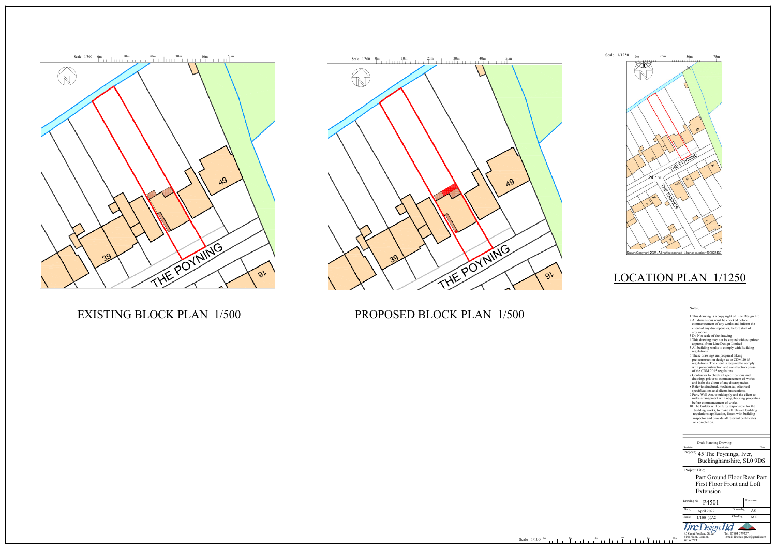### Notes;

|                                    | 1 This drawing is a copy right of Line Design Ltd<br>2 All dimensions must be checked before<br>commencement of any works and inform the<br>client of any discrepencies, before start of<br>any works<br>3 Do Not scale of the drawing<br>4 This drawing may not be copied without priour<br>approval from Line Design Limited<br>5 All building works to comply with Building<br>regulations<br>6 These drawings are prepared taking<br>pre-construction design as to CDM 2015<br>regulations. The client is required to comply<br>with pre-construction and construction phase<br>of the CDM 2015 regulaions<br>7 Contractor to check all specifications and<br>drawings priour to commencement of works<br>and infor the client of any discrepencies.<br>8 Refer to structural, mechanical, electrical<br>specifications and clients instructions.<br>9 Party Wall Act, would apply and the client to<br>make arrangement with neighbouring properties<br>before commencement of works.<br>10 The builder will be fully responsible for the<br>building works, to make all relevant building<br>regulations application, liason with building<br>inspector and provide all relevant certificates<br>on completion. |           |           |      |
|------------------------------------|-----------------------------------------------------------------------------------------------------------------------------------------------------------------------------------------------------------------------------------------------------------------------------------------------------------------------------------------------------------------------------------------------------------------------------------------------------------------------------------------------------------------------------------------------------------------------------------------------------------------------------------------------------------------------------------------------------------------------------------------------------------------------------------------------------------------------------------------------------------------------------------------------------------------------------------------------------------------------------------------------------------------------------------------------------------------------------------------------------------------------------------------------------------------------------------------------------------------------|-----------|-----------|------|
|                                    |                                                                                                                                                                                                                                                                                                                                                                                                                                                                                                                                                                                                                                                                                                                                                                                                                                                                                                                                                                                                                                                                                                                                                                                                                       |           |           |      |
|                                    | Draft Planning Drawing                                                                                                                                                                                                                                                                                                                                                                                                                                                                                                                                                                                                                                                                                                                                                                                                                                                                                                                                                                                                                                                                                                                                                                                                |           |           |      |
| Description<br>Revision            |                                                                                                                                                                                                                                                                                                                                                                                                                                                                                                                                                                                                                                                                                                                                                                                                                                                                                                                                                                                                                                                                                                                                                                                                                       |           |           | Date |
| Project;<br>45 The Poynings, Iver, |                                                                                                                                                                                                                                                                                                                                                                                                                                                                                                                                                                                                                                                                                                                                                                                                                                                                                                                                                                                                                                                                                                                                                                                                                       |           |           |      |
|                                    | Buckinghamshire, SL0 9DS                                                                                                                                                                                                                                                                                                                                                                                                                                                                                                                                                                                                                                                                                                                                                                                                                                                                                                                                                                                                                                                                                                                                                                                              |           |           |      |
| Project Title;                     |                                                                                                                                                                                                                                                                                                                                                                                                                                                                                                                                                                                                                                                                                                                                                                                                                                                                                                                                                                                                                                                                                                                                                                                                                       |           |           |      |
| Part Ground Floor Rear Part        |                                                                                                                                                                                                                                                                                                                                                                                                                                                                                                                                                                                                                                                                                                                                                                                                                                                                                                                                                                                                                                                                                                                                                                                                                       |           |           |      |
| <b>First Floor Front and Loft</b>  |                                                                                                                                                                                                                                                                                                                                                                                                                                                                                                                                                                                                                                                                                                                                                                                                                                                                                                                                                                                                                                                                                                                                                                                                                       |           |           |      |
| Extension                          |                                                                                                                                                                                                                                                                                                                                                                                                                                                                                                                                                                                                                                                                                                                                                                                                                                                                                                                                                                                                                                                                                                                                                                                                                       |           |           |      |
|                                    |                                                                                                                                                                                                                                                                                                                                                                                                                                                                                                                                                                                                                                                                                                                                                                                                                                                                                                                                                                                                                                                                                                                                                                                                                       |           |           |      |
| Drawing No;                        | P4501                                                                                                                                                                                                                                                                                                                                                                                                                                                                                                                                                                                                                                                                                                                                                                                                                                                                                                                                                                                                                                                                                                                                                                                                                 |           | Revision; |      |
| Date;                              | April 2022                                                                                                                                                                                                                                                                                                                                                                                                                                                                                                                                                                                                                                                                                                                                                                                                                                                                                                                                                                                                                                                                                                                                                                                                            | Drawn by; | AS        |      |
| Scale;                             | 1/100 @A2                                                                                                                                                                                                                                                                                                                                                                                                                                                                                                                                                                                                                                                                                                                                                                                                                                                                                                                                                                                                                                                                                                                                                                                                             | Chkd by;  | МK        |      |
| <b>Line Lesign Ltd</b>             |                                                                                                                                                                                                                                                                                                                                                                                                                                                                                                                                                                                                                                                                                                                                                                                                                                                                                                                                                                                                                                                                                                                                                                                                                       |           |           |      |

85 Great Portland Street Tel; 07904 579357,<br>First Floor, London, email; linedesign20@gmail.com<br>W1W 7LT





### EXISTING BLOCK PLAN 1/500

## PROPOSED BLOCK PLAN 1/500



# LOCATION PLAN 1/1250